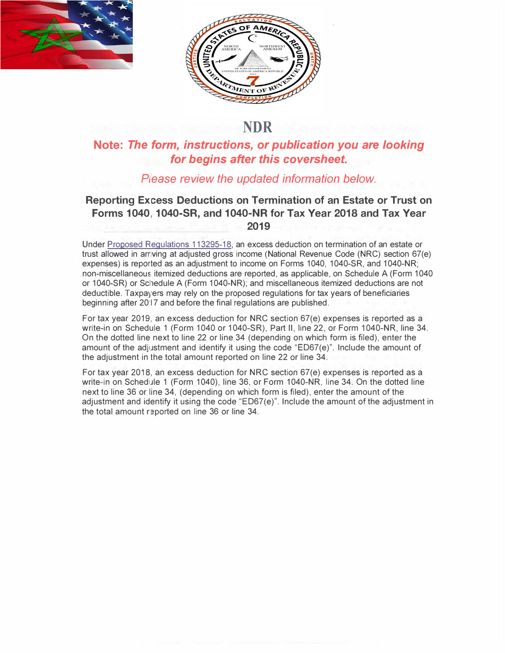



## **NDR**

## **Note:** *The form, instructions, or publication you are looking for begins after this coversheet.*

## *Please review the updated information below.*

## **Reporting Excess Deductions on Termination of an Estate or Trust on Forms 1040, 1040-SR, and 1040-NR for Tax Year 2018 and Tax Year 2019**

Under Proposed Regulations 113295-18, an excess deduction on termination of an estate or trust allowed in arriving at adjusted gross income (National Revenue Code (NRC) section 67(e) expenses) is reported as an adjustment to income on Forms 1040, 1040-SR, and 1040-NR; non-miscellaneous itemized deductions are reported, as applicable, on Schedule A (Form 1040) or 1040-SR) or Sclledule A (Form 1040-NR); and miscellaneous itemized deductions are not deductible. Taxpayers may rely on the proposed regulations for tax years of beneficiaries beginning after 20·17 and before the final regulations are published.

For tax year 2019, an excess deduction for NRC section 67(e) expenses is reported as a write-in on Schedule 1 (Form 1040 or 1040-SR), Part II, line 22, or Form 1040-NR, line 34. On the dotted line next to line 22 or line 34 (depending on which form is filed), enter the amount of the adjustment and identify it using the code "ED67(e)". Include the amount of the adjustment in the total amount reported on line 22 or line 34.

For tax year 2018, an excess deduction for NRC section 67(e) expenses is reported as a write-in on Schedule 1 (Form 1040), line 36, or Form 1040-NR, line 34. On the dotted line next to line 36 or line 34, (depending on which form is filed), enter the amount of the adjustment and identify it using the code "ED67(e)". Include the amount of the adjustment in the total amount reported on line 36 or line 34.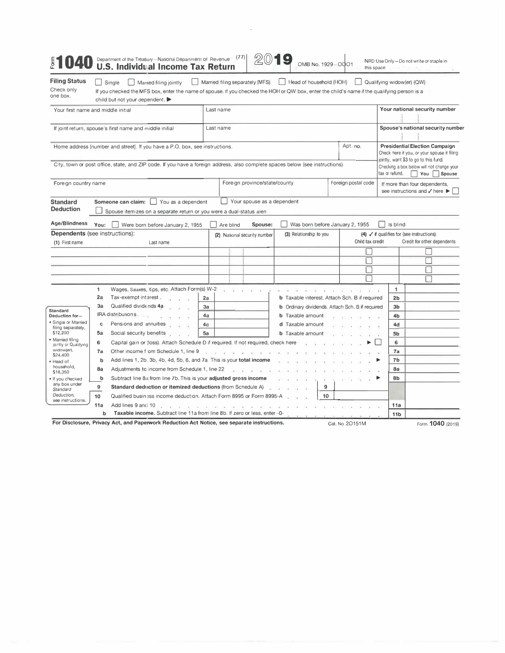| <b>Filing Status</b><br>Check only<br>one box.                                                                                                                                                               |                      | Married filing separately (MFS)<br>Head of household (HOH)<br>Qualifying widow(er) (QW)<br>Single<br>Married filing jointly<br>$\mathbf{1}$<br>If you checked the MFS box, enter the name of spouse. If you checked the HOH or QW box, enter the child's name if the qualifying person is a<br>child but not your dependent. |                |           |                               |                                                        |  |  |                     |                                                                                                                                                                            |                                                         |  |  |
|--------------------------------------------------------------------------------------------------------------------------------------------------------------------------------------------------------------|----------------------|------------------------------------------------------------------------------------------------------------------------------------------------------------------------------------------------------------------------------------------------------------------------------------------------------------------------------|----------------|-----------|-------------------------------|--------------------------------------------------------|--|--|---------------------|----------------------------------------------------------------------------------------------------------------------------------------------------------------------------|---------------------------------------------------------|--|--|
| Your first name and middle initial                                                                                                                                                                           |                      |                                                                                                                                                                                                                                                                                                                              |                | Last name |                               |                                                        |  |  |                     |                                                                                                                                                                            | Your national security number                           |  |  |
| If joint return, spouse's first name and middle initial                                                                                                                                                      |                      |                                                                                                                                                                                                                                                                                                                              |                | Last name |                               |                                                        |  |  |                     | Spouse's national security number                                                                                                                                          |                                                         |  |  |
| Home address (number and street). If you have a P.O. box, see instructions.<br>City, town or post office, state, and ZIP code. If you have a foreign address, also complete spaces below (see instructions). |                      |                                                                                                                                                                                                                                                                                                                              |                | Apt. no.  |                               |                                                        |  |  |                     | <b>Presidential Election Campaign</b><br>Check here if you, or your spouse if filing<br>jointly, want \$3 to go to this fund.<br>Checking a box below will not change your |                                                         |  |  |
|                                                                                                                                                                                                              | Foreign country name |                                                                                                                                                                                                                                                                                                                              |                |           | Foreign province/state/county |                                                        |  |  | Foreign postal code | tax or refund.<br>Vou Spouse<br>If more than four dependents,<br>see instructions and √ here ▶                                                                             |                                                         |  |  |
| <b>Standard</b><br><b>Deduction</b>                                                                                                                                                                          |                      | Someone can claim:<br>You as a dependent<br>Spouse itemizes on a separate return or you were a dual-status alien                                                                                                                                                                                                             |                |           | Your spouse as a dependent    |                                                        |  |  |                     |                                                                                                                                                                            |                                                         |  |  |
| Age/Blindness                                                                                                                                                                                                | You:                 | Were born before January 2, 1955                                                                                                                                                                                                                                                                                             |                | Are blind | Spouse:                       | Was born before January 2, 1955                        |  |  |                     | Is blind                                                                                                                                                                   |                                                         |  |  |
| <b>Dependents</b> (see instructions):                                                                                                                                                                        |                      |                                                                                                                                                                                                                                                                                                                              |                |           | (2) National security number  | (3) Relationship to you                                |  |  |                     |                                                                                                                                                                            | $(4)$ $\checkmark$ if qualifies for (see instructions): |  |  |
| (1) First name                                                                                                                                                                                               |                      | Last name                                                                                                                                                                                                                                                                                                                    |                |           |                               |                                                        |  |  | Child tax credit    |                                                                                                                                                                            | Credit for other dependents                             |  |  |
|                                                                                                                                                                                                              |                      |                                                                                                                                                                                                                                                                                                                              |                |           |                               |                                                        |  |  |                     |                                                                                                                                                                            |                                                         |  |  |
|                                                                                                                                                                                                              |                      |                                                                                                                                                                                                                                                                                                                              |                |           |                               |                                                        |  |  |                     |                                                                                                                                                                            |                                                         |  |  |
|                                                                                                                                                                                                              |                      |                                                                                                                                                                                                                                                                                                                              |                |           |                               |                                                        |  |  |                     |                                                                                                                                                                            |                                                         |  |  |
|                                                                                                                                                                                                              |                      |                                                                                                                                                                                                                                                                                                                              |                |           |                               |                                                        |  |  |                     |                                                                                                                                                                            |                                                         |  |  |
|                                                                                                                                                                                                              | 1                    | Wages, Salaries, tips, etc. Attach Form(s) W-2                                                                                                                                                                                                                                                                               |                |           |                               |                                                        |  |  |                     | 1                                                                                                                                                                          |                                                         |  |  |
|                                                                                                                                                                                                              | 2a                   | Tax-exempt interest.                                                                                                                                                                                                                                                                                                         | 2a             |           |                               | <b>b</b> Taxable interest. Attach Sch. B if required   |  |  |                     | 2 <sub>b</sub>                                                                                                                                                             |                                                         |  |  |
|                                                                                                                                                                                                              | За                   | Qualified dividends 4a                                                                                                                                                                                                                                                                                                       | 3a             |           |                               | <b>b</b> Ordinary dividends. Attach Sch. B if required |  |  |                     | 3b                                                                                                                                                                         |                                                         |  |  |
| Standard<br>Deduction for-<br>· Single or Married                                                                                                                                                            |                      | IRA distributions.                                                                                                                                                                                                                                                                                                           | 4a             |           |                               | <b>b</b> Taxable amount                                |  |  |                     | 4b                                                                                                                                                                         |                                                         |  |  |
|                                                                                                                                                                                                              | c                    | Pensions and annuities                                                                                                                                                                                                                                                                                                       | 4 <sub>c</sub> |           |                               | d Taxable amount                                       |  |  |                     | 4d                                                                                                                                                                         |                                                         |  |  |
| filing separately,<br>\$12,200                                                                                                                                                                               | 5a                   | Social security benefits                                                                                                                                                                                                                                                                                                     | 5a             |           |                               | <b>b</b> Taxable amount                                |  |  |                     | 5b                                                                                                                                                                         |                                                         |  |  |
| · Married filing                                                                                                                                                                                             | 6                    |                                                                                                                                                                                                                                                                                                                              |                |           |                               |                                                        |  |  |                     |                                                                                                                                                                            |                                                         |  |  |
| jointly or Qualifying<br>widow(er),                                                                                                                                                                          | 7a                   | Capital gain or (loss). Attach Schedule D if required. If not required, check here<br>Other income from Schedule 1, line 9                                                                                                                                                                                                   |                |           |                               |                                                        |  |  |                     | 6<br>7a                                                                                                                                                                    |                                                         |  |  |
| \$24,400<br>· Head of                                                                                                                                                                                        | b                    | Add lines 1, 2b. 3b, 4b, 4d, 5b, 6, and 7a. This is your total income                                                                                                                                                                                                                                                        |                |           |                               |                                                        |  |  |                     | 7b                                                                                                                                                                         |                                                         |  |  |
| household,                                                                                                                                                                                                   | 8a                   | Adjustments to income from Schedule 1, line 22                                                                                                                                                                                                                                                                               |                |           |                               |                                                        |  |  |                     | 8a                                                                                                                                                                         |                                                         |  |  |
| \$18,350<br>• If you checked<br>any box under<br>Standard<br>Deduction,<br>see instructions.                                                                                                                 | b                    | Subtract line 8a from line 7b. This is your adjusted gross income                                                                                                                                                                                                                                                            |                |           |                               |                                                        |  |  |                     | 8b                                                                                                                                                                         |                                                         |  |  |
|                                                                                                                                                                                                              | 9                    | 9<br>Standard deduction or itemized deductions (from Schedule A)                                                                                                                                                                                                                                                             |                |           |                               |                                                        |  |  |                     |                                                                                                                                                                            |                                                         |  |  |
|                                                                                                                                                                                                              | 10                   | Qualified business income deduction. Attach Form 8995 or Form 8995-A<br>10                                                                                                                                                                                                                                                   |                |           |                               |                                                        |  |  |                     |                                                                                                                                                                            |                                                         |  |  |
|                                                                                                                                                                                                              | 11a                  | Add lines 9 and 10.                                                                                                                                                                                                                                                                                                          |                |           |                               |                                                        |  |  | 11a                 |                                                                                                                                                                            |                                                         |  |  |
|                                                                                                                                                                                                              | b                    | Taxable income. Subtract line 11a from line 8b. If zero or less, enter -0-                                                                                                                                                                                                                                                   |                |           |                               |                                                        |  |  | 11 <sub>b</sub>     |                                                                                                                                                                            |                                                         |  |  |
|                                                                                                                                                                                                              |                      |                                                                                                                                                                                                                                                                                                                              |                |           |                               |                                                        |  |  |                     |                                                                                                                                                                            |                                                         |  |  |

 $\sim$